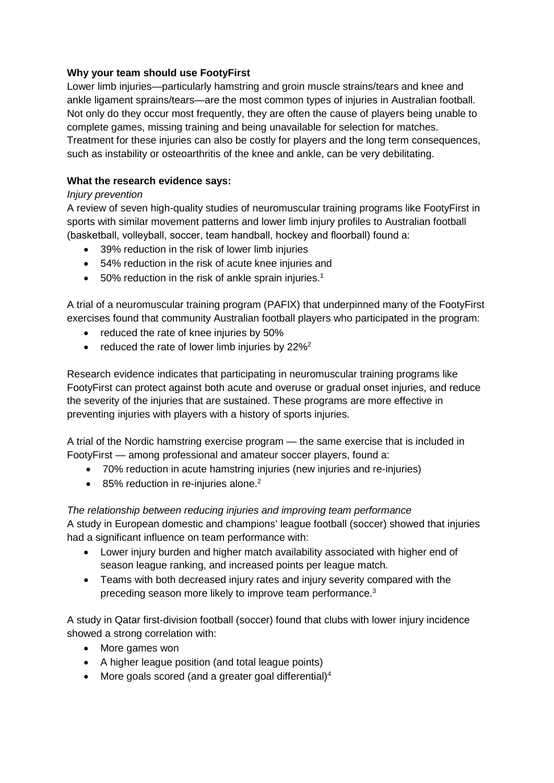# **Why your team should use FootyFirst**

Lower limb injuries—particularly hamstring and groin muscle strains/tears and knee and ankle ligament sprains/tears—are the most common types of injuries in Australian football. Not only do they occur most frequently, they are often the cause of players being unable to complete games, missing training and being unavailable for selection for matches. Treatment for these injuries can also be costly for players and the long term consequences, such as instability or osteoarthritis of the knee and ankle, can be very debilitating.

# **What the research evidence says:**

# *Injury prevention*

A review of seven high-quality studies of neuromuscular training programs like FootyFirst in sports with similar movement patterns and lower limb injury profiles to Australian football (basketball, volleyball, soccer, team handball, hockey and floorball) found a:

- 39% reduction in the risk of lower limb injuries
- 54% reduction in the risk of acute knee injuries and
- 50% reduction in the risk of ankle sprain injuries.<sup>1</sup>

A trial of a neuromuscular training program (PAFIX) that underpinned many of the FootyFirst exercises found that community Australian football players who participated in the program:

- reduced the rate of knee injuries by 50%
- reduced the rate of lower limb injuries by  $22\%^2$

Research evidence indicates that participating in neuromuscular training programs like FootyFirst can protect against both acute and overuse or gradual onset injuries, and reduce the severity of the injuries that are sustained. These programs are more effective in preventing injuries with players with a history of sports injuries.

A trial of the Nordic hamstring exercise program — the same exercise that is included in FootyFirst — among professional and amateur soccer players, found a:

- 70% reduction in acute hamstring injuries (new injuries and re-injuries)
- 85% reduction in re-injuries alone.<sup>2</sup>

# *The relationship between reducing injuries and improving team performance*

A study in European domestic and champions' league football (soccer) showed that injuries had a significant influence on team performance with:

- Lower injury burden and higher match availability associated with higher end of season league ranking, and increased points per league match.
- Teams with both decreased injury rates and injury severity compared with the preceding season more likely to improve team performance.<sup>3</sup>

A study in Qatar first-division football (soccer) found that clubs with lower injury incidence showed a strong correlation with:

- More games won
- A higher league position (and total league points)
- More goals scored (and a greater goal differential)<sup>4</sup>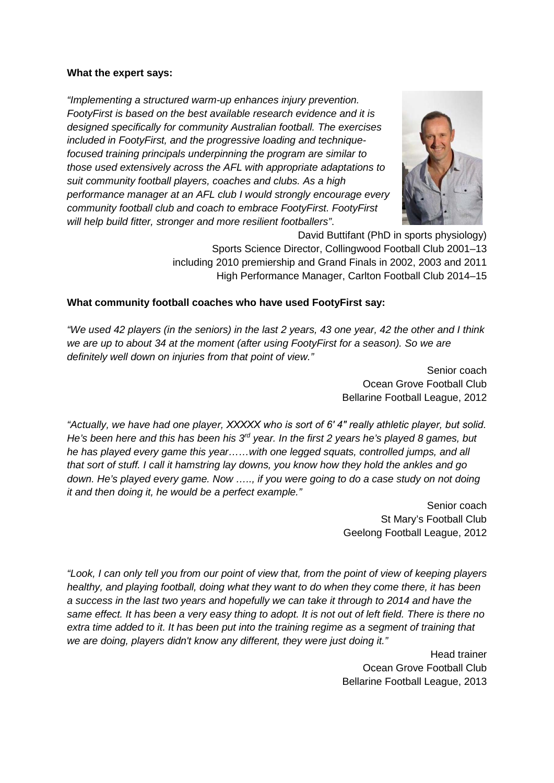### **What the expert says:**

*"Implementing a structured warm-up enhances injury prevention. FootyFirst is based on the best available research evidence and it is designed specifically for community Australian football. The exercises included in FootyFirst, and the progressive loading and techniquefocused training principals underpinning the program are similar to those used extensively across the AFL with appropriate adaptations to suit community football players, coaches and clubs. As a high performance manager at an AFL club I would strongly encourage every community football club and coach to embrace FootyFirst. FootyFirst will help build fitter, stronger and more resilient footballers"*.



David Buttifant (PhD in sports physiology) Sports Science Director, Collingwood Football Club 2001–13 including 2010 premiership and Grand Finals in 2002, 2003 and 2011 High Performance Manager, Carlton Football Club 2014–15

### **What community football coaches who have used FootyFirst say:**

*"We used 42 players (in the seniors) in the last 2 years, 43 one year, 42 the other and I think we are up to about 34 at the moment (after using FootyFirst for a season). So we are definitely well down on injuries from that point of view."*

Senior coach Ocean Grove Football Club Bellarine Football League, 2012

*"Actually, we have had one player, XXXXX who is sort of 6′ 4″ really athletic player, but solid. He's been here and this has been his 3rd year. In the first 2 years he's played 8 games, but he has played every game this year……with one legged squats, controlled jumps, and all that sort of stuff. I call it hamstring lay downs, you know how they hold the ankles and go down. He's played every game. Now ….., if you were going to do a case study on not doing it and then doing it, he would be a perfect example."*

> Senior coach St Mary's Football Club Geelong Football League, 2012

*"Look, I can only tell you from our point of view that, from the point of view of keeping players healthy, and playing football, doing what they want to do when they come there, it has been a success in the last two years and hopefully we can take it through to 2014 and have the same effect. It has been a very easy thing to adopt. It is not out of left field. There is there no extra time added to it. It has been put into the training regime as a segment of training that we are doing, players didn't know any different, they were just doing it."*

> Head trainer Ocean Grove Football Club Bellarine Football League, 2013